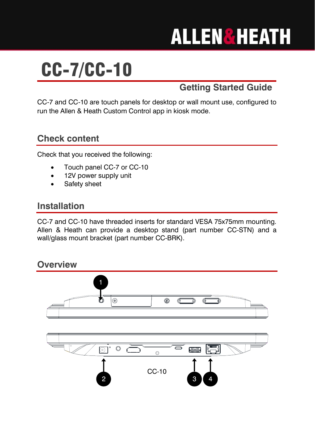# **ALLEN&HEATH**

## CC-7/CC-10

## **Getting Started Guide**

CC-7 and CC-10 are touch panels for desktop or wall mount use, configured to run the Allen & Heath Custom Control app in kiosk mode.

### **Check content**

Check that you received the following:

- Touch panel CC-7 or CC-10
- 12V power supply unit
- Safety sheet

#### **Installation**

CC-7 and CC-10 have threaded inserts for standard VESA 75x75mm mounting. Allen & Heath can provide a desktop stand (part number CC-STN) and a wall/glass mount bracket (part number CC-BRK).

#### **Overview**

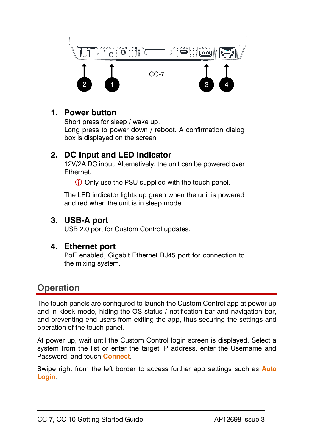

#### **1. Power button**

Short press for sleep / wake up. Long press to power down / reboot. A confirmation dialog box is displayed on the screen.

#### **2. DC Input and LED indicator**

12V/2A DC input. Alternatively, the unit can be powered over Ethernet.

Only use the PSU supplied with the touch panel.

The LED indicator lights up green when the unit is powered and red when the unit is in sleep mode.

#### **3. USB-A port**

USB 2.0 port for Custom Control updates.

#### **4. Ethernet port**

PoE enabled, Gigabit Ethernet RJ45 port for connection to the mixing system.

## **Operation**

The touch panels are configured to launch the Custom Control app at power up and in kiosk mode, hiding the OS status / notification bar and navigation bar, and preventing end users from exiting the app, thus securing the settings and operation of the touch panel.

At power up, wait until the Custom Control login screen is displayed. Select a system from the list or enter the target IP address, enter the Username and Password, and touch **Connect**.

Swipe right from the left border to access further app settings such as **Auto Login**.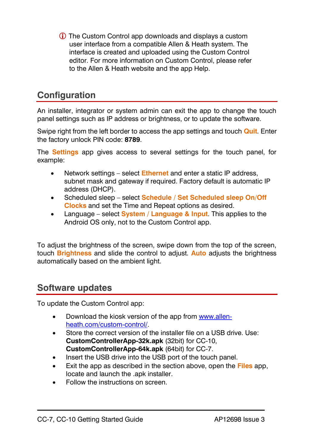The Custom Control app downloads and displays a custom user interface from a compatible Allen & Heath system. The interface is created and uploaded using the Custom Control editor. For more information on Custom Control, please refer to the Allen & Heath website and the app Help.

## **Configuration**

An installer, integrator or system admin can exit the app to change the touch panel settings such as IP address or brightness, or to update the software.

Swipe right from the left border to access the app settings and touch **Quit**. Enter the factory unlock PIN code: **8789**.

The **Settings** app gives access to several settings for the touch panel, for example:

- Network settings select **Ethernet** and enter a static IP address, subnet mask and gateway if required. Factory default is automatic IP address (DHCP).
- Scheduled sleep select **Schedule / Set Scheduled sleep On/Off Clocks** and set the Time and Repeat options as desired.
- Language select **System / Language & Input**. This applies to the Android OS only, not to the Custom Control app.

To adjust the brightness of the screen, swipe down from the top of the screen, touch **Brightness** and slide the control to adjust. **Auto** adjusts the brightness automatically based on the ambient light.

#### **Software updates**

To update the Custom Control app:

- Download the kiosk version of the app from [www.allen](http://www.allen-heath.com/custom-control/)[heath.com/custom-control/.](http://www.allen-heath.com/custom-control/)
- Store the correct version of the installer file on a USB drive. Use: **CustomControllerApp-32k.apk** (32bit) for CC-10, **CustomControllerApp-64k.apk** (64bit) for CC-7.
- Insert the USB drive into the USB port of the touch panel.
- Exit the app as described in the section above, open the **Files** app, locate and launch the .apk installer.
- Follow the instructions on screen.